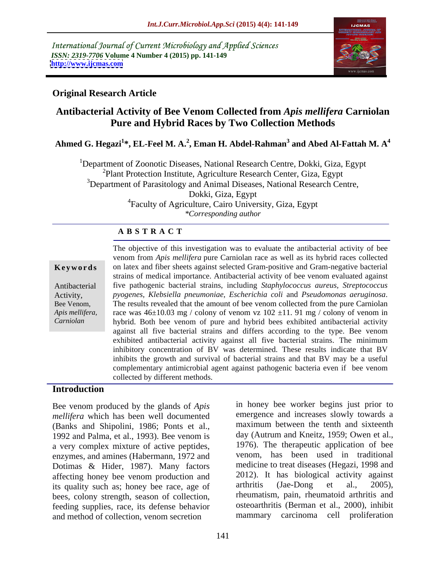International Journal of Current Microbiology and Applied Sciences *ISSN: 2319-7706* **Volume 4 Number 4 (2015) pp. 141-149 <http://www.ijcmas.com>**



### **Original Research Article**

# **Antibacterial Activity of Bee Venom Collected from** *Apis mellifera* **Carniolan Pure and Hybrid Races by Two Collection Methods**

**Ahmed G. Hegazi<sup>1</sup> \*, EL-Feel M. A.<sup>2</sup> , Eman H. Abdel-Rahman<sup>3</sup> and Abed Al-Fattah M. A<sup>4</sup>**

<sup>1</sup>Department of Zoonotic Diseases, National Research Centre, Dokki, Giza, Egypt  $^{2}$ Plant Protection Institute, Agriculture Research Center, Giza, Egypt <sup>3</sup>Department of Parasitology and Animal Diseases, National Research Centre, Dokki, Giza, Egypt 4Faculty of Agriculture, Cairo University, Giza, Egypt *\*Corresponding author*

### **A B S T R A C T**

*Carniolan*

The objective of this investigation was to evaluate the antibacterial activity of bee venom from *Apis mellifera* pure Carniolan race as well as its hybrid races collected on latex and fiber sheets against selected Gram-positive and Gram-negative bacterial **Ke ywo rds** strains of medical importance. Antibacterial activity of bee venom evaluated against five pathogenic bacterial strains, including *Staphylococcus aureus, Streptococcus* Antibacterial *pyogenes, Klebsiella pneumoniae, Escherichia coli* and *Pseudomonas aeruginosa*. Activity, The results revealed that the amount of bee venom collected from the pure Carniolan Bee Venom, Apis mellifera, cace was  $46\pm10.03$  mg / colony of venom vz 102  $\pm11$ . 91 mg / colony of venom in hybrid. Both bee venom of pure and hybrid bees exhibited antibacterial activity against all five bacterial strains and differs according to the type. Bee venom exhibited antibacterial activity against all five bacterial strains. The minimum inhibitory concentration of BV was determined. These results indicate that BV inhibits the growth and survival of bacterial strains and that BV may be a useful complementary antimicrobial agent against pathogenic bacteria even if bee venom collected by different methods.

### **Introduction**

Bee venom produced by the glands of *Apis mellifera* which has been well documented (Banks and Shipolini, 1986; Ponts et al., 1992 and Palma, et al., 1993). Bee venom is a very complex mixture of active peptides, enzymes, and amines (Habermann, 1972 and Dotimas & Hider, 1987). Many factors affecting honey bee venom production and 2012). It has biological activity against<br>its quality such as: honey bee race, age of arthritis (Jae-Dong et al., 2005), its quality such as; honey bee race, age of bees, colony strength, season of collection, feeding supplies, race, its defense behavior and method of collection, venom secretion

in honey bee worker begins just prior to emergence and increases slowly towards a maximum between the tenth and sixteenth day (Autrum and Kneitz, 1959; Owen et al., 1976). The therapeutic application of bee venom, has been used in traditional medicine to treat diseases (Hegazi, 1998 and 2012). It has biological activity against arthritis (Jae-Dong et al., 2005), rheumatism, pain, rheumatoid arthritis and osteoarthritis (Berman et al., 2000), inhibit mammary carcinoma cell proliferation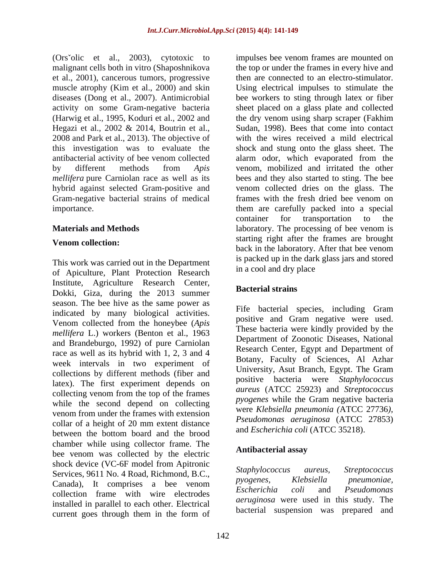malignant cells both in vitro (Shaposhnikova et al., 2001), cancerous tumors, progressive Hegazi et al., 2002 & 2014, Boutrin et al., Gram-negative bacterial strains of medical frames with the fresh dried bee venom on

This work was carried out in the Department<br>in a cool and dry place of Apiculture, Plant Protection Research Institute, Agriculture Research Center,<br>
Bacterial strains Dokki, Giza, during the 2013 summer season. The bee hive as the same power as indicated by many biological activities. Venom collected from the honeybee (*Apis mellifera* L.) workers (Benton et al., 1963 and Brandeburgo, 1992) of pure Carniolan race as well as its hybrid with 1, 2, 3 and 4 week intervals in two experiment of collections by different methods (fiber and latex). The first experiment depends on collecting venom from the top of the frames while the second depend on collecting venom from under the frames with extension collar of a height of 20 mm extent distance between the bottom board and the brood chamber while using collector frame. The<br>has no see a second later than the classic **Antibacterial assay** bee venom was collected by the electric shock device (VC-6F model from Apitronic<br>Staphylococcus aureus, Streptococcus Services, 9611 No. 4 Road, Richmond, B.C.,<br> *Exercise Progenes, Klebsiella preumoniae*, Canada), It comprises a bee venom *pyogenes*, Riebstella phelmoniae, collection frame with wire electrodes installed in parallel to each other. Electrical current goes through them in the form of

(Ors olic et al., 2003), cytotoxic to impulses bee venom frames are mounted on muscle atrophy (Kim et al., 2000) and skin Using electrical impulses to stimulate the diseases (Dong et al., 2007). Antimicrobial bee workers to sting through latex or fiber activity on some Gram-negative bacteria sheet placed on a glass plate and collected (Harwig et al., 1995, Koduri et al., 2002 and the dry venom using sharp scraper (Fakhim 2008 and Park et al., 2013). The objective of with the wires received a mild electrical this investigation was to evaluate the shock and stung onto the glass sheet. The antibacterial activity of bee venom collected alarm odor, which evaporated from the by different methods from *Apis* venom, mobilized and irritated the other *mellifera* pure Carniolan race as well as its bees and they also started to sting. The bee hybrid against selected Gram-positive and venom collected dries on the glass. The importance. them are carefully packed into a special **Materials and Methods Example 20** *laboratory*. The processing of bee venom is Venom collection:<br> **Venom collection:**<br>  $\frac{1}{2}$  by the laboratory of facilitate are google. the top or under the frames in every hive and then are connected to an electro-stimulator. Sudan, 1998). Bees that come into contact frames with the fresh dried bee venom on container for transportation to the starting right after the frames are brought back in the laboratory. After that bee venom is packed up in the dark glass jars and stored in a cool and dry place

### **Bacterial strains**

Fife bacterial species, including Gram positive and Gram negative were used. These bacteria were kindly provided by the Department of Zoonotic Diseases, National Research Center, Egypt and Department of Botany, Faculty of Sciences, Al Azhar University, Asut Branch, Egypt. The Gram positive bacteria were *Staphylococcus aureus* (ATCC 25923) and *Streptococcus pyogenes* while the Gram negative bacteria were *Klebsiella pneumonia (*ATCC 27736*), Pseudomonas aeruginosa* (ATCC 27853) and *Escherichia coli* (ATCC 35218).

### **Antibacterial assay**

*Staphylococcus aureus, Streptococcus pyogenes, Klebsiella pneumoniae, Escherichia coli* and *Pseudomonas aeruginosa* were used in this study. The bacterial suspension was prepared and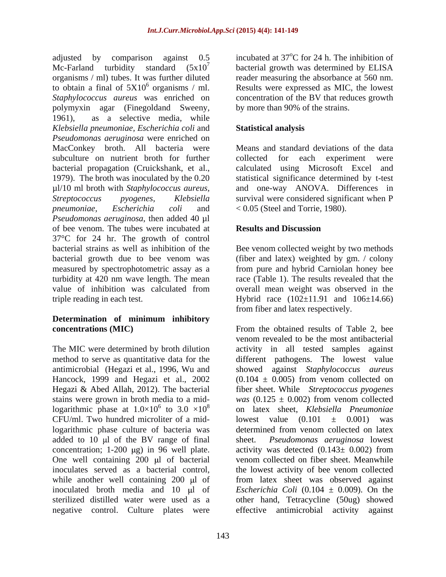adjusted by comparison against  $0.5$  incubated at 37 $\mathrm{^{\circ}C}$  for 24 h. The inhibition of Mc-Farland turbidity standard  $(5x10^7$  bacterial growth was determined by ELISA organisms / ml) tubes. It was further diluted reader measuring the absorbance at 560 nm. to obtain a final of  $5X10^6$  organisms / ml. Results were expressed as MIC, the lowest *Staphylococcus aureus* was enriched on concentration of the BV that reduces growth polymyxin agar (Finegoldand Sweeny, 1961), as a selective media, while *Klebsiella pneumoniae, Escherichia coli* and *Pseudomonas aeruginosa* were enriched on MacConkey broth. All bacteria were subculture on nutrient broth for further collected for each experiment were bacterial propagation (Cruickshank, et al., 1979). The broth was inoculated by the 0.20 statistical significance determined by t-test µl/10 ml broth with *Staphylococcus aureus, Streptococcus pyogenes, Klebsiella* survival were considered significant when P *pneumoniae, Escherichia coli* and < 0.05 (Steel and Torrie, 1980). *Pseudomonas aeruginosa*, then added 40 µl of bee venom. The tubes were incubated at 37°C for 24 hr. The growth of control bacterial strains as well as inhibition of the Bee venom collected weight by two methods bacterial growth due to bee venom was (fiber and latex) weighted by gm. / colony measured by spectrophotometric assay as a from pure and hybrid Carniolan honey bee turbidity at 420 nm wave length. The mean value of inhibition was calculated from overall mean weight was observed in the

# **Determination of minimum inhibitory**

CFU/ml. Two hundred microliter of a mid-<br>lowest value  $(0.101 \pm 0.001)$  was logarithmic phase culture of bacteria was determined from venom collected on latex added to  $10 \mu l$  of the BV range of final sheet. One well containing  $200 \mu l$  of bacterial inoculates served as a bacterial control, the lowest activity of bee venom collected sterilized distilled water were used as a

oC for 24 h. The inhibition of by more than 90% of the strains.

## **Statistical analysis**

Means and standard deviations of the data collected for each experiment were calculated using Microsoft Excel and and one-way ANOVA. Differences in

# **Results and Discussion**

triple reading in each test. Hybrid race (102±11.91 and 106±14.66) race (Table 1). The results revealed that the from fiber and latex respectively.

**concentrations (MIC)** From the obtained results of Table 2, bee The MIC were determined by broth dilution activity in all tested samples against method to serve as quantitative data for the different pathogens. The lowest value antimicrobial (Hegazi et al., 1996, Wu and showed against *Staphylococcus aureus* Hancock, 1999 and Hegazi et al., 2002 (0.104 ± 0.005) from venom collected on Hegazi & Abed Allah, 2012). The bacterial fiber sheet. While *Streptococcus pyogenes* stains were grown in broth media to a mid-*was* (0.125 ± 0.002) from venom collected logarithmic phase at  $1.0 \times 10^6$  to  $3.0 \times 10^8$  on latex sheet, *Klebsiella Pneumoniae* concentration; 1-200  $\mu$ g) in 96 well plate. activity was detected  $(0.143 \pm 0.002)$  from while another well containing 200 µl of from latex sheet was observed against inoculated broth media and 10  $\mu$ l of *Escherichia Coli* (0.104  $\pm$  0.009). On the negative control. Culture plates were effective antimicrobial activity againstvenom revealed to be the most antibacterial lowest value  $(0.101 \pm 0.001)$ determined from venom collected on latex *Pseudomonas aeruginosa* lowest venom collected on fiber sheet. Meanwhile the lowest activity of bee venom collected other hand, Tetracycline (50ug) showed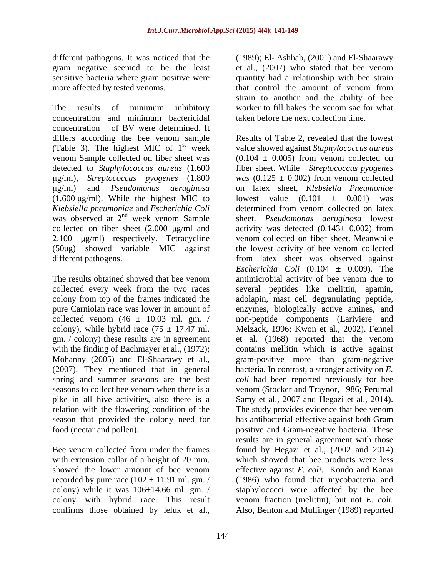The results of minimum inhibitory worker to fill bakes the venom sac for what concentration and minimum bactericidal concentration of BV were determined. It differs according the bee venom sample venom Sample collected on fiber sheet was detected to *Staphylococcus aureus* (1.600 (1.600  $\mu$ g/ml). While the highest MIC to lowest value (0.101  $\pm$  0.001) was collected on fiber sheet  $(2.000 \mu g/ml$  and

relation with the flowering condition of the The study provides evidence that bee venom

colony with hybrid race. This result

different pathogens.It was noticed that the (1989); El- Ashhab, (2001) and El-Shaarawy gram negative seemed to be the least et al., (2007) who stated that bee venom sensitive bacteria where gram positive were quantity had a relationship with bee strain more affected by tested venoms. that control the amount of venom from strain to another and the ability of bee taken before the next collection time.

(Table 3). The highest MIC of 1 st week value showed against *Staphylococcus aureus* g/ml), *Streptococcus pyogenes* (1.800 *was* (0.125 ± 0.002) from venom collected g/ml) and *Pseudomonas aeruginosa* on latex sheet, *Klebsiella Pneumoniae Klebsiella pneumoniae* and *Escherichia Coli* determined from venom collected on latex was observed at 2<sup>nd</sup> week venom Sample sheet. *Pseudomonas aeruginosa* lowest 2.100  $\mu$ g/ml) respectively. Tetracycline venom collected on fiber sheet. Meanwhile (50ug) showed variable MIC against the lowest activity of bee venom collected different pathogens. from latex sheet was observed against The results obtained showed that bee venom antimicrobial activity of bee venom due to collected every week from the two races several peptides like melittin, apamin, colony from top of the frames indicated the adolapin, mast cell degranulating peptide, pure Carniolan race was lower in amount of enzymes, biologically active amines, and collected venom  $(46 \pm 10.03 \text{ ml. gm.} / \text{non-peptide components}$  (Lariviere and colony), while hybrid race  $(75 \pm 17.47 \text{ ml.}$  Melzack, 1996; Kwon et al., 2002). Fennel gm. / colony) these results are in agreement et al. (1968) reported that the venom with the finding of Bachmayer et al., (1972); contains mellitin which is active against Mohanny (2005) and El-Shaarawy et al., gram-positive more than gram-negative (2007). They mentioned that in general bacteria. In contrast, a stronger activity on *E.*  spring and summer seasons are the best *coli* had been reported previously for bee seasons to collect bee venom when there is a venom (Stocker and Traynor, 1986; Perumal pike in all hive activities, also there is a Samy et al., 2007 and Hegazi et al., 2014). season that provided the colony need for has antibacterial effective against both Gram food (nectar and pollen). positive and Gram-negative bacteria. These Bee venom collected from under the frames found by Hegazi et al., (2002 and 2014) with extension collar of a height of 20 mm. which showed that bee products were less showed the lower amount of bee venom effective against *E. coli*. Kondo and Kanai recorded by pure race  $(102 \pm 11.91 \text{ ml. gm.}$  (1986) who found that mycobacteria and colony) while it was 106±14.66 ml. gm. / staphylococci were affected by the bee confirms those obtained by leluk et al., Also, Benton and Mulfinger (1989) reportedResults of Table 2, revealed that the lowest  $(0.104 \pm 0.005)$  from venom collected on fiber sheet. While *Streptococcus pyogenes* lowest value  $(0.101 \pm 0.001)$ activity was detected  $(0.143 \pm 0.002)$  from *Escherichia Coli*  $(0.104 \pm 0.009)$ . The antimicrobial activity of bee venom due to The study provides evidence that bee venom results are in general agreement with those venom fraction (melittin), but not *E. coli.*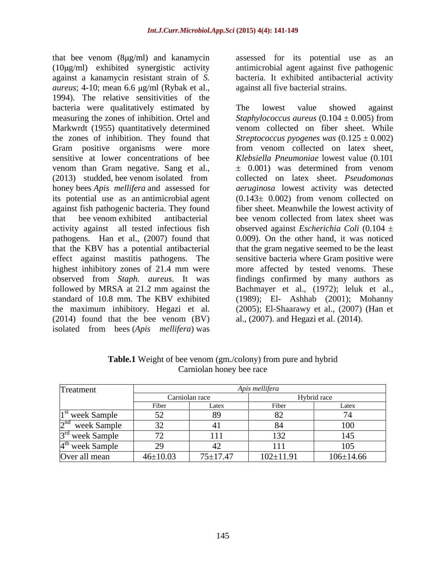that bee venom  $(8\mu g/ml)$  and kanamycin (10μg/ml) exhibited synergistic activity antimicrobial agent against five pathogenic against a kanamycin resistant strain of *S.*  bacteria. It exhibited antibacterial activity *aureus*; 4-10; mean 6.6 µg/ml (Rybak et al., 1994). The relative sensitivities of the bacteria were qualitatively estimated by The lowest value showed against measuring the zones of inhibition. Ortel and  $Staphylococcus\ aureus (0.104 \pm 0.005)$  from Markwrdt (1955) quantitatively determined Gram positive organisms were more sensitive at lower concentrations of bee venom than Gram negative. Sang et al., its potential use as an antimicrobial agent that bee venom exhibited antibacterial followed by MRSA at 21.2 mm against the (2014) found that the bee venom (BV) isolated from bees (*Apis mellifera*) was

assessed for its potential use as an against all five bacterial strains.

the zones of inhibition. They found that *Streptococcus pyogenes was* (0.125 ± 0.002) (2013) studded, bee venom isolated from collected on latex sheet. *Pseudomonas* honey bees *Apis mellifera* and assessed for *aeruginosa* lowest activity was detected against fish pathogenic bacteria. They found fiber sheet. Meanwhile the lowest activity of activity against all tested infectious fish observed against *Escherichia Coli* (0.104 ± pathogens. Han et al., (2007) found that 0.009). On the other hand, it was noticed that the KBV has a potential antibacterial that the gram negative seemed to be the least effect against mastitis pathogens. The sensitive bacteria where Gram positive were highest inhibitory zones of 21.4 mm were moreaffected by tested venoms. These observed from *Staph. aureus*. It was findings confirmed by many authors as standard of 10.8 mm. The KBV exhibited (1989); El- Ashhab (2001); Mohanny the maximum inhibitory. Hegazi et al. (2005); El-Shaarawy et al., (2007) (Han et The lowest value showed against *Staphylococcus aureus*  $(0.104 \pm 0.005)$  from venom collected on fiber sheet. While from venom collected on latex sheet, *Klebsiella Pneumoniae* lowest value (0.101 ± 0.001) was determined from venom collected on latex sheet. *Pseudomonas*   $(0.143± 0.002)$  from venom collected on bee venom collected from latex sheet was Bachmayer et al., (1972); leluk et al., al., (2007). and Hegazi et al. (2014).

| Treatment                   | Apis mellifera |                |                 |                   |
|-----------------------------|----------------|----------------|-----------------|-------------------|
|                             |                | Carniolan race |                 | Hybrid race       |
|                             | Fiber          | Latex          | Fiber           | Latex             |
| <sup>st</sup> week Sample   |                | $\Omega$<br>ОZ | ◡▵              |                   |
| $\lambda$ nd<br>week Sample |                | 41             |                 | 100               |
| $3rd$ week Sample           |                | <b>TTT</b>     | 1 J 4           |                   |
| $4th$ week Sample           | ر ت            |                |                 | $1 \cap F$<br>TÛN |
| Over all mean               | $46 \pm 10.03$ | $75 \pm 17.47$ | $102 \pm 11.91$ | $106 \pm 14.66$   |

**Table.1** Weight of bee venom (gm./colony) from pure and hybrid Carniolan honey bee race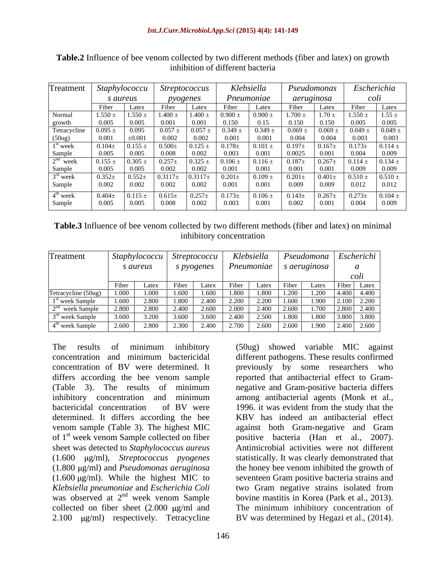| Treatment                                          | Staphylococcu |             | <i>Streptococcus</i> |             | Klebsiella         |             | Pseudomonas |             | Escherichia          |             |  |
|----------------------------------------------------|---------------|-------------|----------------------|-------------|--------------------|-------------|-------------|-------------|----------------------|-------------|--|
|                                                    |               | s aureus    |                      | pyogenes    |                    | Pneumoniae  |             | aeruginosa  |                      | coli        |  |
|                                                    | Fiber         | Latex       | Fiber                | Latex       | F <sub>1</sub> ber | Latex       | Fiber       | Latex       | Fiber                | Latex       |  |
| Normal                                             | $1.550 \pm$   | $1.550 \pm$ | $1.400 \pm$          | $1.400 \pm$ | $0.900 \pm$        | $0.900 \pm$ | $1.700 \pm$ | $1.70 \pm$  | $1.550\,\pm\,$       | $1.55 \pm$  |  |
| growth                                             | 0.005         | 0.005       | 0.001                | 0.001       | 0.150              | 0.15        | 0.150       | 0.150       | 0.005                | 0.005       |  |
| Tetracycline                                       | $0.095 \pm$   | 0.095       | 0.057                | $0.057 \pm$ | $0.349 \pm$        | 0.349       | $0.069 \pm$ | $0.069 =$   | $0.049 \pm$          | 0.049:      |  |
| (50ug)                                             | 0.001         | $\pm 0.001$ | 0.002                | 0.002       | 0.001              | 0.001       | 0.004       | 0.004       | 0.003                | 0.003       |  |
| <sup>1st</sup> week                                | $0.104\pm$    | $0.155 \pm$ | $0.500 \pm$          | 0.125:      | $0.178 \pm$        | $0.101 \pm$ | $0.197\pm$  | $0.167\pm$  | $0.173\pm$           | $0.114 =$   |  |
|                                                    | 0.005         | 0.005       | 0.008                | 0.002       | 0.003              | 0.001       | 0.0025      | 0.001       | 0.004                | 0.009       |  |
| $\frac{\text{Sample}}{2^{\text{nd}}$ week          | $0.155 \pm$   | $0.305 \pm$ | $0.257\pm$           | $0.325 \pm$ | $0.106 \pm$        | $0.116 \pm$ | $0.187 +$   | $0.267 \pm$ | $0.114 \pm$          | $0.134 \pm$ |  |
|                                                    | 0.005         | 0.005       | 0.002                | 0.002       | 0.001              | 0.001       | 0.001       | 0.001       | 0.009                | 0.009       |  |
| $\frac{\text{Sample}}{3^{\text{rd}} \text{ week}}$ | $0.352 \pm$   | $0.552\pm$  | $0.3117\pm$          |             | 0.201              | $0.109 \pm$ | $0.201 \pm$ | $0.401\pm$  | $0.510\,\pm\,$       | $0.510 =$   |  |
| Sample                                             | 0.002         | 0.002       | 0.002                | 0.002       | 0.001              | 0.001       | 0.009       | 0.009       | 0.012                | 0.012       |  |
|                                                    | $0.404\pm$    |             |                      | $0.257 \pm$ | $0.173\pm$         |             |             | $0.267 \pm$ | $\overline{0.273}$ ± | $0.104 \pm$ |  |
| $4^{\text{th}}$ week                               |               | $0.115 \pm$ | $0.615\pm$           |             |                    | $0.106 \pm$ | $0.143\pm$  |             |                      |             |  |
| Sample                                             | 0.005         | 0.005       | 0.008                | 0.002       | 0.003              | 0.001       | 0.002       | 0.001       | 0.004                | 0.009       |  |

**Table.2** Influence of bee venom collected by two different methods (fiber and latex) on growth inhibition of different bacteria

| Treatment                           |       | <i>Staphylococcu</i><br>s aureus | <i>Streptococcu</i><br>s pyogenes |       | Klebsiella<br>Pneumoniae |       |                    | s aeruginosa | Pseudomona Escherichi |
|-------------------------------------|-------|----------------------------------|-----------------------------------|-------|--------------------------|-------|--------------------|--------------|-----------------------|
|                                     |       |                                  |                                   |       |                          |       |                    |              | coli                  |
|                                     |       | Latex                            | iber'                             | Latex | Fiber                    | Latex | F <sub>1</sub> ber | ∟atex        | Latex<br>∣ Fiber I    |
| Tetracycline (50ug)                 | 1.000 | 1.000                            | 1.600                             | 1.600 | 1.800                    | .800  | 1.200              | ⊥.∠∪∪        | 4.400<br>4.400        |
| 1 <sup>st</sup> week Sample         | 1.600 | 2.800                            | 1.800                             | 2.400 | 2.200                    | 2.200 | 1.600              | 1.900        | 2.200<br>2.100        |
|                                     | 2.800 | 2.800                            | 2.400                             | 2.600 | 2.000                    | 2.400 | 2.600              | 1.700        | 2.400<br>2.800        |
| $\frac{2^{nd}}{3^{rd}}$ week Sample | 3.600 | 3.200                            | 3.600                             | 3.600 | 2.400                    | 2.500 | 1.800              | 1.800        | 3.800<br>3.800        |
| 4 <sup>th</sup> week Sample         | 2.600 | 2.800                            | 2.300                             | 2.400 | 2.700                    | 2.600 | 2.600              | 1.900        | 2.400 2.600           |

determined. It differs according the bee sheet was detected to *Staphylococcus aureus Klebsiella pneumoniae* and *Escherichia Coli*

The results of minimum inhibitory (50ug) showed variable MIC against concentration and minimum bactericidal different pathogens. These results confirmed concentration of BV were determined. It previously by some researchers who differs according the bee venom sample reported that antibacterial effect to Gram- (Table 3). The results of minimum negative and Gram-positive bacteria differs inhibitory concentration and minimum bactericidal concentration of BV were 1996. it was evident from the study that the venom sample (Table 3). The highest MIC against both Gram-negative and Gram of 1<sup>st</sup> week venom Sample collected on fiber positive bacteria (Han et al., 2007). week venom Sample collected on fiber positive bacteria (Han et al., 2007). (1.600 µg/ml), *Streptococcus pyogenes* statistically. It was clearly demonstrated that (1.800 µg/ml) and *Pseudomonas aeruginosa* the honey bee venom inhibited the growth of  $(1.600 \,\mu\text{g/ml})$ . While the highest MIC to seventeen Gram positive bacteria strains and was observed at 2<sup>nd</sup> week venom Sample bovine mastitis in Korea (Park et al., 2013). collected on fiber sheet  $(2.000 \text{ µg/ml}$  and The minimum inhibitory concentration of 2.100  $\mu$ g/ml) respectively. Tetracycline BV was determined by Hegazi et al., (2014). among antibacterial agents (Monk et al., KBV has indeed an antibacterial effect Antimicrobial activities were not different two Gram negative strains isolated from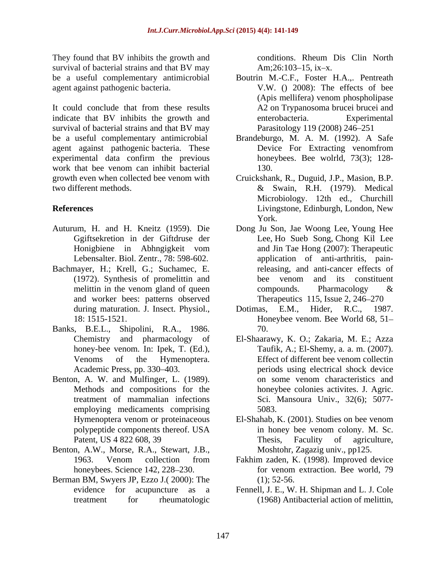They found that BV inhibits the growth and  $\blacksquare$  conditions. Rheum Dis Clin North survival of bacterial strains and that BV may Am;26:103–15, ix-x.

It could conclude that from these results indicate that BV inhibits the growth and enterobacteria. Experimental survival of bacterial strains and that BV may be a useful complementary antimicrobial Brandeburgo, M. A. M. (1992). A Safe agent against pathogenic bacteria. These experimental data confirm the previous work that bee venom can inhibit bacterial and  $130$ . growth even when collected bee venom with Cruickshank, R., Duguid, J.P., Masion, B.P.

- 
- Bachmayer, H.; Krell, G.; Suchamec, E. and worker bees: patterns observed
- Banks, B.E.L., Shipolini, R.A., 1986.
- Benton, A. W. and Mulfinger, L. (1989). on some venom characteristics and employing medicaments comprising 5083.
- Benton, A.W., Morse, R.A., Stewart, J.B.,
- Berman BM, Swyers JP, Ezzo J.( 2000): The

conditions. Rheum Dis Clin North Am; $26:103-15$ , ix-x.

- be a useful complementary antimicrobial Boutrin M.-C.F., Foster H.A.,. Pentreath agent against pathogenic bacteria. V.W. () 2008): The effects of bee (Apis mellifera) venom phospholipase A2 on Trypanosoma brucei brucei and enterobacteria. Experimental Parasitology 119 (2008) 246-251
	- Device For Extracting venomfrom honeybees. Bee wolrld, 73(3); 128- 130.
- two different methods. & Swain, R.H. (1979). Medical **References** Livingstone, Edinburgh, London, New Microbiology. 12th ed., Churchill Livingstone, Edinburgh, London, New York.
- Auturum, H. and H. Kneitz (1959). Die Dong Ju Son, Jae Woong Lee, Young Hee Ggiftsekretion in der Giftdruse der Lee, Ho Sueb Song, Chong Kil Lee Honigbiene in Abhngigkeit vom Lebensalter. Biol. Zentr., 78: 598-602. application of anti-arthritis, pain-(1972). Synthesis of promelittin and melittin in the venom gland of queen  $\Box$  compounds. Pharmacology  $\&$ and Jin Tae Hong (2007): Therapeutic releasing, and anti-cancer effects of bee venom and its constituent compounds. Pharmacology & Therapeutics 115, Issue 2, 246–270
	- during maturation. J. Insect. Physiol., Dotimas, E.M., Hider, R.C., 1987. 18: 1515-1521. Honeybee venom. Bee World 68, 51 Dotimas, E.M., Hider, R.C., 1987. 70.
	- Chemistry and pharmacology of El-Shaarawy, K. O.; Zakaria, M. E.; Azza honey-bee venom. In: Ipek, T. (Ed.), Taufik, A.; El-Shemy, a. a. m. (2007). Venoms of the Hymenoptera. Effect of different bee venom collectin Academic Press, pp. 330–403. The periods using electrical shock device Methods and compositions for the honeybee colonies activites. J. Agric. treatment of mammalian infections Sci. Mansoura Univ., 32(6); 5077 on some venom characteristics and 5083.
	- Hymenoptera venom or proteinaceous El-Shahab, K. (2001). Studies on bee venom polypeptide components thereof. USA in honey bee venom colony. M. Sc. Patent, US 4 822 608, 39 Thesis, Faculty of agriculture, in honey bee venom colony. M. Sc. Thesis, Faculity of agriculture, Moshtohr, Zagazig univ., pp125.
	- 1963. Venom collection from Fakhim zaden, K. (1998). Improved device honeybees. Science 142, 228–230. The form verture of the straction. Bee world, 79 for venom extraction. Bee world, 79  $(1); 52-56.$
	- evidence for acupuncture as a Fennell, J. E., W. H. Shipman and L. J. Cole treatment for rheumatologic (1968) Antibacterial action of melittin,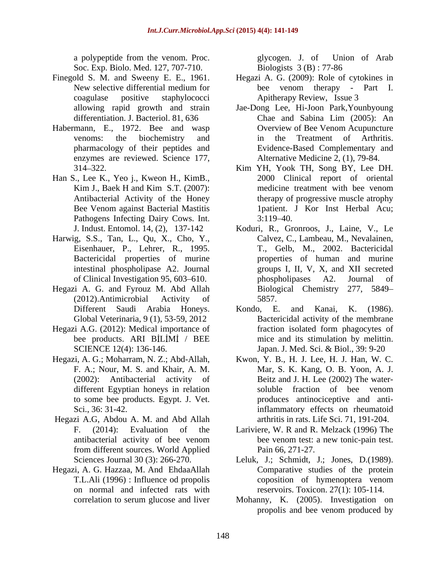Soc. Exp. Biolo. Med. 127, 707-710. Biologists 3 (B): 77-86

- 
- Habermann, E., 1972. Bee and wasp enzymes are reviewed. Science 177,
- Han S., Lee K., Yeo j., Kweon H., KimB., Antibacterial Activity of the Honey Pathogens Infecting Dairy Cows. Int. 3:119-40.
- Harwig, S.S., Tan, L., Qu, X., Cho, Y., Eisenhauer, P., Lehrer, R., 1995.
- Hegazi A. G. and Fyrouz M. Abd Allah (2012).Antimicrobial Activity of
- Hegazi A.G. (2012): Medical importance of fraction isolated form phagocytes of
- 
- Hegazi A.G, Abdou A. M. and Abd Allah
- Hegazi, A. G. Hazzaa, M. And EhdaaAllah on normal and infected rats with

a polypeptide from the venom. Proc. <br>glycogen. J. of Union of Arab glycogen. J. of Union of Arab Biologists 3 (B) : 77-86

- Finegold S. M. and Sweeny E. E., 1961. Hegazi A. G. (2009): Role of cytokines in New selective differential medium for bee venom therapy - Part I. coagulase positive staphylococci Apitherapy Review, Issue 3 bee venom therapy - Part I.
	- allowing rapid growth and strain Jae-Dong Lee, Hi-Joon Park,Younbyoung differentiation. J. Bacteriol. 81, 636 Chae and Sabina Lim (2005): An venoms: the biochemistry and in the Treatment of Arthritis. pharmacology of their peptides and Evidence-Based Complementary and Chae and Sabina Lim (2005): An Overview of Bee Venom Acupuncture in the Treatment of Arthritis. Alternative Medicine 2, (1), 79-84.
	- 314 322. Kim YH, Yook TH, Song BY, Lee DH. Kim J., Baek H and Kim S.T. (2007): medicine treatment with bee venom Bee Venom against Bacterial Mastitis 1patient. J Kor Inst Herbal Acu; 2000 Clinical report of oriental medicine treatment with bee venom therapy of progressive muscle atrophy  $3:119-40.$
	- J. Indust. Entomol. 14, (2), 137-142 Koduri, R., Gronroos, J., Laine, V., Le Bactericidal properties of murine properties of human and murine intestinal phospholipase A2. Journal groups I, II, V, X, and XII secreted of Clinical Investigation 95, 603–610. https://phospholipases A2. Journal of Calvez, C., Lambeau, M., Nevalainen, T., Gelb, M., 2002. Bactericidal phospholipases A2. Journal of Biological Chemistry 277, 5849 5857.
	- Different Saudi Arabia Honeys. Global Veterinaria, 9 (1), 53-59, 2012 Bactericidal activity of the membrane bee products. ARI BILIMI / BEE mice and its stimulation by melittin. SCIENCE 12(4): 136-146. Japan. J. Med. Sci. & Biol., 39: 9-20 Kondo, E. and Kanai, K. (1986). fraction isolated form phagocytes of mice and its stimulation by melittin.
- Hegazi, A. G.; Moharram, N. Z.; Abd-Allah, Kwon, Y. B., H. J. Lee, H. J. Han, W. C. F. A.; Nour, M. S. and Khair, A. M. Mar, S. K. Kang, O. B. Yoon, A. J. (2002): Antibacterial activity of Beitz and J. H. Lee (2002) The water different Egyptian honeys in relation soluble fraction of bee venom to some bee products. Egypt. J. Vet. produces antinociceptive and anti-Sci., 36: 31-42. inflammatory effects on rheumatoid soluble fraction of bee venom arthritis in rats. Life Sci. 71, 191-204.
	- F. (2014): Evaluation of the Lariviere, W. R and R. Melzack (1996) The antibacterial activity of bee venom bee venom test: a new tonic-pain test. from different sources. World Applied Pain 66, 271-27. bee venom test: a new tonic-pain test. Pain 66, 271-27.
	- Sciences Journal 30 (3): 266-270. Leluk, J.; Schmidt, J.; Jones, D.(1989). T.L.Ali (1996) : Influence od propolis Comparative studies of the protein coposition of hymenoptera venom reservoirs. Toxicon. 27(1): 105-114.
	- correlation to serum glucose and liver Mohanny, K. (2005). Investigation on propolis and bee venom produced by